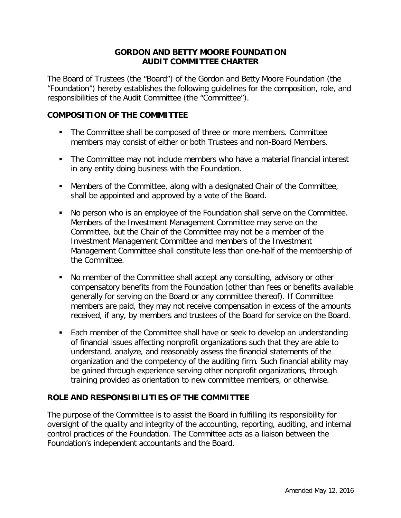## **GORDON AND BETTY MOORE FOUNDATION AUDIT COMMITTEE CHARTER**

The Board of Trustees (the "Board") of the Gordon and Betty Moore Foundation (the "Foundation") hereby establishes the following guidelines for the composition, role, and responsibilities of the Audit Committee (the "Committee").

## **COMPOSITION OF THE COMMITTEE**

- The Committee shall be composed of three or more members. Committee members may consist of either or both Trustees and non-Board Members.
- The Committee may not include members who have a material financial interest in any entity doing business with the Foundation.
- Members of the Committee, along with a designated Chair of the Committee, shall be appointed and approved by a vote of the Board.
- No person who is an employee of the Foundation shall serve on the Committee. Members of the Investment Management Committee may serve on the Committee, but the Chair of the Committee may not be a member of the Investment Management Committee and members of the Investment Management Committee shall constitute less than one-half of the membership of the Committee.
- No member of the Committee shall accept any consulting, advisory or other compensatory benefits from the Foundation (other than fees or benefits available generally for serving on the Board or any committee thereof). If Committee members are paid, they may not receive compensation in excess of the amounts received, if any, by members and trustees of the Board for service on the Board.
- Each member of the Committee shall have or seek to develop an understanding of financial issues affecting nonprofit organizations such that they are able to understand, analyze, and reasonably assess the financial statements of the organization and the competency of the auditing firm. Such financial ability may be gained through experience serving other nonprofit organizations, through training provided as orientation to new committee members, or otherwise.

## **ROLE AND RESPONSIBILITIES OF THE COMMITTEE**

The purpose of the Committee is to assist the Board in fulfilling its responsibility for oversight of the quality and integrity of the accounting, reporting, auditing, and internal control practices of the Foundation. The Committee acts as a liaison between the Foundation's independent accountants and the Board.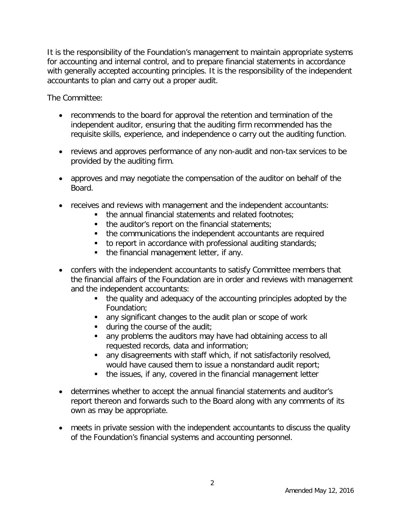It is the responsibility of the Foundation's management to maintain appropriate systems for accounting and internal control, and to prepare financial statements in accordance with generally accepted accounting principles. It is the responsibility of the independent accountants to plan and carry out a proper audit.

The Committee:

- recommends to the board for approval the retention and termination of the independent auditor, ensuring that the auditing firm recommended has the requisite skills, experience, and independence o carry out the auditing function.
- reviews and approves performance of any non-audit and non-tax services to be provided by the auditing firm.
- approves and may negotiate the compensation of the auditor on behalf of the Board.
- receives and reviews with management and the independent accountants:
	- the annual financial statements and related footnotes;
	- $\blacksquare$  the auditor's report on the financial statements;
	- the communications the independent accountants are required
	- to report in accordance with professional auditing standards;
	- the financial management letter, if any.
- confers with the independent accountants to satisfy Committee members that the financial affairs of the Foundation are in order and reviews with management and the independent accountants:
	- the quality and adequacy of the accounting principles adopted by the Foundation;
	- any significant changes to the audit plan or scope of work
	- **during the course of the audit;**
	- **a** any problems the auditors may have had obtaining access to all requested records, data and information;
	- any disagreements with staff which, if not satisfactorily resolved, would have caused them to issue a nonstandard audit report;
	- the issues, if any, covered in the financial management letter
- determines whether to accept the annual financial statements and auditor's report thereon and forwards such to the Board along with any comments of its own as may be appropriate.
- meets in private session with the independent accountants to discuss the quality of the Foundation's financial systems and accounting personnel.